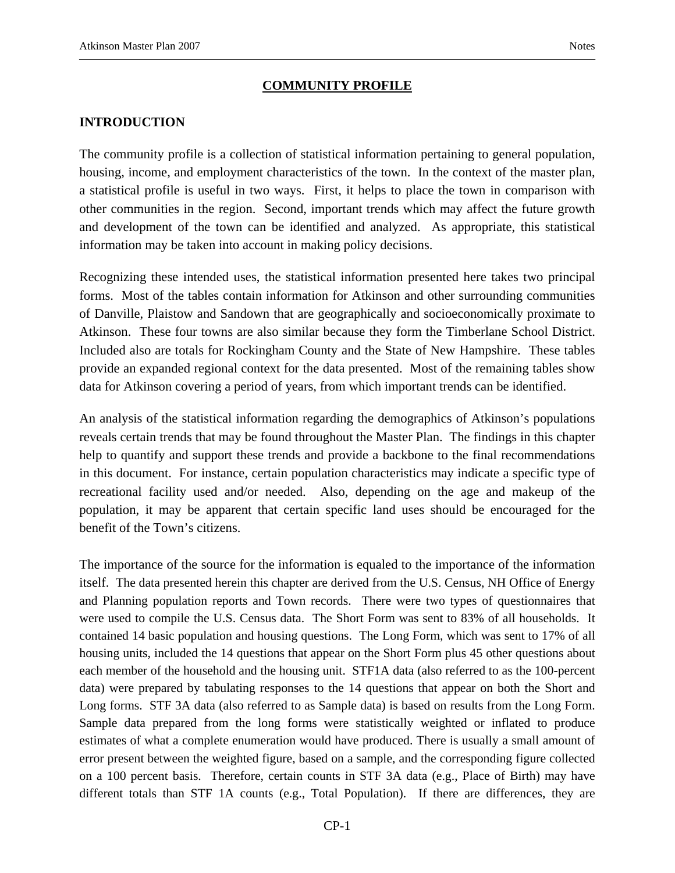### **COMMUNITY PROFILE**

### **INTRODUCTION**

The community profile is a collection of statistical information pertaining to general population, housing, income, and employment characteristics of the town. In the context of the master plan, a statistical profile is useful in two ways. First, it helps to place the town in comparison with other communities in the region. Second, important trends which may affect the future growth and development of the town can be identified and analyzed. As appropriate, this statistical information may be taken into account in making policy decisions.

Recognizing these intended uses, the statistical information presented here takes two principal forms. Most of the tables contain information for Atkinson and other surrounding communities of Danville, Plaistow and Sandown that are geographically and socioeconomically proximate to Atkinson. These four towns are also similar because they form the Timberlane School District. Included also are totals for Rockingham County and the State of New Hampshire. These tables provide an expanded regional context for the data presented. Most of the remaining tables show data for Atkinson covering a period of years, from which important trends can be identified.

An analysis of the statistical information regarding the demographics of Atkinson's populations reveals certain trends that may be found throughout the Master Plan. The findings in this chapter help to quantify and support these trends and provide a backbone to the final recommendations in this document. For instance, certain population characteristics may indicate a specific type of recreational facility used and/or needed. Also, depending on the age and makeup of the population, it may be apparent that certain specific land uses should be encouraged for the benefit of the Town's citizens.

The importance of the source for the information is equaled to the importance of the information itself. The data presented herein this chapter are derived from the U.S. Census, NH Office of Energy and Planning population reports and Town records. There were two types of questionnaires that were used to compile the U.S. Census data. The Short Form was sent to 83% of all households. It contained 14 basic population and housing questions. The Long Form, which was sent to 17% of all housing units, included the 14 questions that appear on the Short Form plus 45 other questions about each member of the household and the housing unit. STF1A data (also referred to as the 100-percent data) were prepared by tabulating responses to the 14 questions that appear on both the Short and Long forms. STF 3A data (also referred to as Sample data) is based on results from the Long Form. Sample data prepared from the long forms were statistically weighted or inflated to produce estimates of what a complete enumeration would have produced. There is usually a small amount of error present between the weighted figure, based on a sample, and the corresponding figure collected on a 100 percent basis. Therefore, certain counts in STF 3A data (e.g., Place of Birth) may have different totals than STF 1A counts (e.g., Total Population). If there are differences, they are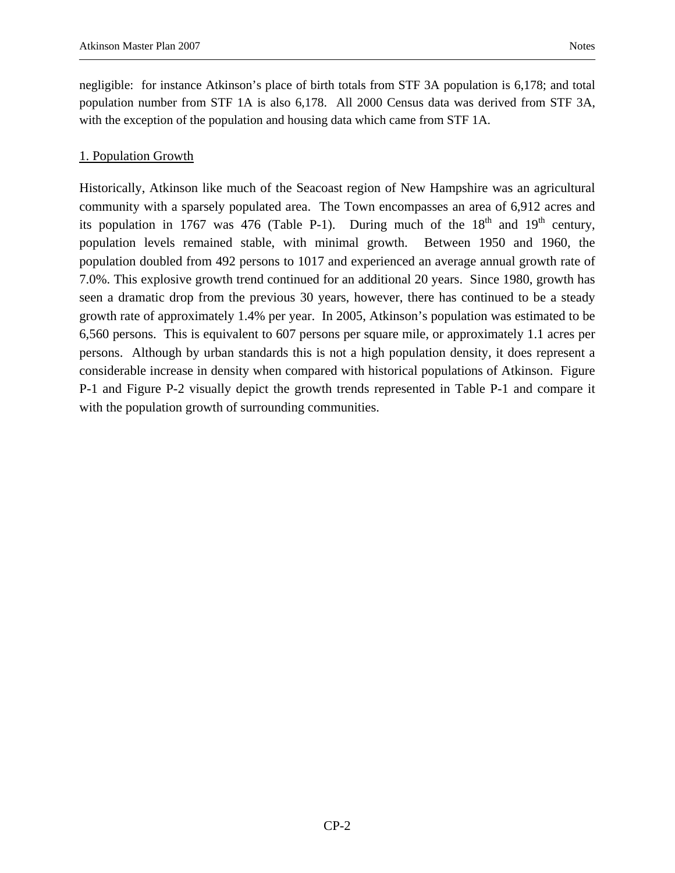negligible: for instance Atkinson's place of birth totals from STF 3A population is 6,178; and total population number from STF 1A is also 6,178. All 2000 Census data was derived from STF 3A, with the exception of the population and housing data which came from STF 1A.

### 1. Population Growth

Historically, Atkinson like much of the Seacoast region of New Hampshire was an agricultural community with a sparsely populated area. The Town encompasses an area of 6,912 acres and its population in 1767 was 476 (Table P-1). During much of the  $18<sup>th</sup>$  and  $19<sup>th</sup>$  century, population levels remained stable, with minimal growth. Between 1950 and 1960, the population doubled from 492 persons to 1017 and experienced an average annual growth rate of 7.0%. This explosive growth trend continued for an additional 20 years. Since 1980, growth has seen a dramatic drop from the previous 30 years, however, there has continued to be a steady growth rate of approximately 1.4% per year. In 2005, Atkinson's population was estimated to be 6,560 persons. This is equivalent to 607 persons per square mile, or approximately 1.1 acres per persons. Although by urban standards this is not a high population density, it does represent a considerable increase in density when compared with historical populations of Atkinson. Figure P-1 and Figure P-2 visually depict the growth trends represented in Table P-1 and compare it with the population growth of surrounding communities.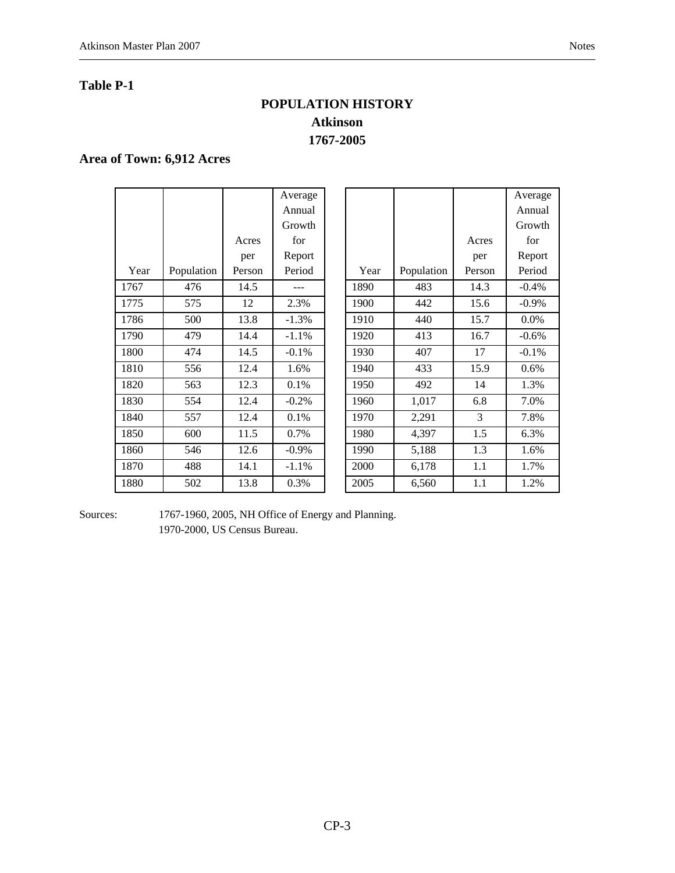#### **Table P-1**

# **POPULATION HISTORY Atkinson 1767-2005**

### **Area of Town: 6,912 Acres**

|      |            |        | Average  |      |            |        | Average  |
|------|------------|--------|----------|------|------------|--------|----------|
|      |            |        | Annual   |      |            |        | Annual   |
|      |            |        | Growth   |      |            |        | Growth   |
|      |            | Acres  | for      |      |            | Acres  | for      |
|      |            | per    | Report   |      |            | per    | Report   |
| Year | Population | Person | Period   | Year | Population | Person | Period   |
| 1767 | 476        | 14.5   |          | 1890 | 483        | 14.3   | $-0.4%$  |
| 1775 | 575        | 12     | 2.3%     | 1900 | 442        | 15.6   | $-0.9\%$ |
| 1786 | 500        | 13.8   | $-1.3%$  | 1910 | 440        | 15.7   | $0.0\%$  |
| 1790 | 479        | 14.4   | $-1.1%$  | 1920 | 413        | 16.7   | $-0.6\%$ |
| 1800 | 474        | 14.5   | $-0.1\%$ | 1930 | 407        | 17     | $-0.1%$  |
| 1810 | 556        | 12.4   | 1.6%     | 1940 | 433        | 15.9   | 0.6%     |
| 1820 | 563        | 12.3   | 0.1%     | 1950 | 492        | 14     | 1.3%     |
| 1830 | 554        | 12.4   | $-0.2%$  | 1960 | 1,017      | 6.8    | 7.0%     |
| 1840 | 557        | 12.4   | 0.1%     | 1970 | 2,291      | 3      | 7.8%     |
| 1850 | 600        | 11.5   | 0.7%     | 1980 | 4,397      | 1.5    | 6.3%     |
| 1860 | 546        | 12.6   | $-0.9\%$ | 1990 | 5,188      | 1.3    | 1.6%     |
| 1870 | 488        | 14.1   | $-1.1%$  | 2000 | 6,178      | 1.1    | 1.7%     |
| 1880 | 502        | 13.8   | 0.3%     | 2005 | 6,560      | 1.1    | 1.2%     |

| Average  |      |            |        | Average  |
|----------|------|------------|--------|----------|
| Annual   |      |            |        | Annual   |
| Growth   |      |            |        | Growth   |
| for      |      |            | Acres  | for      |
| Report   |      |            | per    | Report   |
| Period   | Year | Population | Person | Period   |
|          | 1890 | 483        | 14.3   | $-0.4%$  |
| 2.3%     | 1900 | 442        | 15.6   | $-0.9\%$ |
| $-1.3%$  | 1910 | 440        | 15.7   | 0.0%     |
| $-1.1%$  | 1920 | 413        | 16.7   | $-0.6%$  |
| $-0.1%$  | 1930 | 407        | 17     | $-0.1%$  |
| 1.6%     | 1940 | 433        | 15.9   | 0.6%     |
| 0.1%     | 1950 | 492        | 14     | 1.3%     |
| $-0.2%$  | 1960 | 1,017      | 6.8    | 7.0%     |
| 0.1%     | 1970 | 2,291      | 3      | 7.8%     |
| 0.7%     | 1980 | 4,397      | 1.5    | 6.3%     |
| $-0.9\%$ | 1990 | 5,188      | 1.3    | 1.6%     |
| $-1.1%$  | 2000 | 6,178      | 1.1    | 1.7%     |
| 0.3%     | 2005 | 6,560      | 1.1    | 1.2%     |
|          |      |            |        |          |

Sources: 1767-1960, 2005, NH Office of Energy and Planning. 1970-2000, US Census Bureau.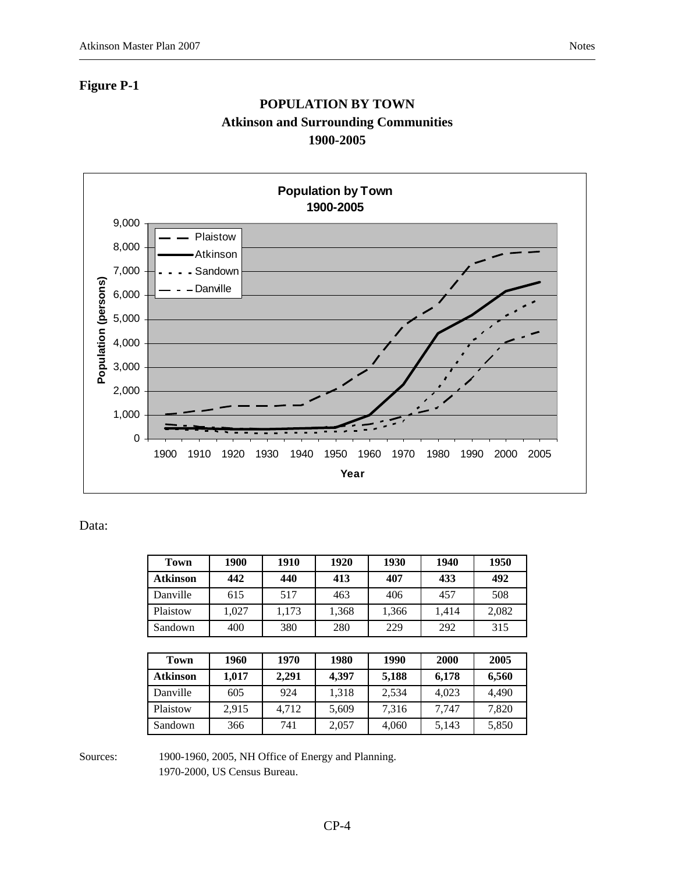# **POPULATION BY TOWN Atkinson and Surrounding Communities 1900-2005**



#### Data:

| Town            | 1900  | 1910  | 1920  | 1930  | 1940  | 1950  |
|-----------------|-------|-------|-------|-------|-------|-------|
| <b>Atkinson</b> | 442   | 440   | 413   | 407   | 433   | 492   |
| Danville        | 615   | 517   | 463   | 406   | 457   | 508   |
| Plaistow        | 1,027 | 1,173 | 1,368 | 1,366 | 1,414 | 2,082 |
| Sandown         | 400   | 380   | 280   | 229   | 292   | 315   |

| Town            | 1960  | 1970  | 1980  | 1990  | 2000  | 2005  |
|-----------------|-------|-------|-------|-------|-------|-------|
| <b>Atkinson</b> | 1.017 | 2.291 | 4.397 | 5.188 | 6.178 | 6,560 |
| Danville        | 605   | 924   | 1,318 | 2,534 | 4.023 | 4.490 |
| Plaistow        | 2,915 | 4,712 | 5,609 | 7,316 | 7.747 | 7,820 |
| Sandown         | 366   | 741   | 2,057 | 4,060 | 5,143 | 5,850 |

Sources: 1900-1960, 2005, NH Office of Energy and Planning.

1970-2000, US Census Bureau.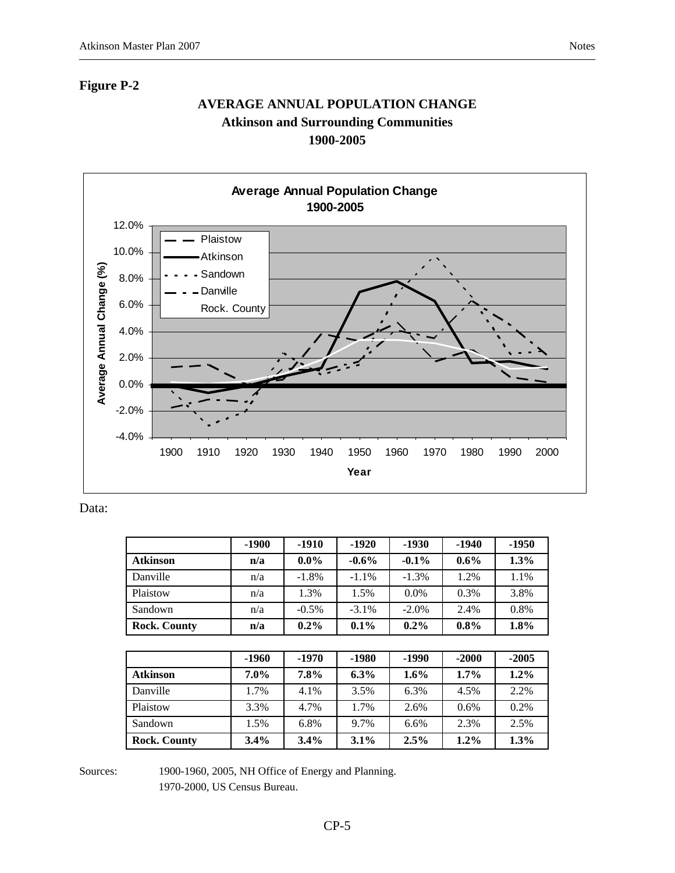### **Figure P-2**

# **AVERAGE ANNUAL POPULATION CHANGE Atkinson and Surrounding Communities 1900-2005**



Data:

|                     | $-1900$ | -1910    | $-1920$  | $-1930$  | -1940   | $-1950$ |
|---------------------|---------|----------|----------|----------|---------|---------|
| <b>Atkinson</b>     | n/a     | $0.0\%$  | $-0.6\%$ | $-0.1\%$ | $0.6\%$ | 1.3%    |
| Danville            | n/a     | $-1.8%$  | $-1.1\%$ | $-1.3%$  | 1.2%    | 1.1%    |
| Plaistow            | n/a     | 1.3%     | 1.5%     | $0.0\%$  | 0.3%    | 3.8%    |
| Sandown             | n/a     | $-0.5\%$ | $-3.1\%$ | $-2.0\%$ | 2.4%    | 0.8%    |
| <b>Rock. County</b> | n/a     | $0.2\%$  | 0.1%     | $0.2\%$  | $0.8\%$ | 1.8%    |

|                     | -1960   | -1970 | $-1980$ | -1990 | $-2000$ | $-2005$ |
|---------------------|---------|-------|---------|-------|---------|---------|
| <b>Atkinson</b>     | $7.0\%$ | 7.8%  | $6.3\%$ | 1.6%  | $1.7\%$ | $1.2\%$ |
| Danville            | 1.7%    | 4.1%  | 3.5%    | 6.3%  | 4.5%    | 2.2%    |
| Plaistow            | 3.3%    | 4.7%  | 1.7%    | 2.6%  | 0.6%    | 0.2%    |
| Sandown             | 1.5%    | 6.8%  | 9.7%    | 6.6%  | 2.3%    | 2.5%    |
| <b>Rock. County</b> | 3.4%    | 3.4%  | 3.1%    | 2.5%  | $1.2\%$ | 1.3%    |

Sources: 1900-1960, 2005, NH Office of Energy and Planning.

1970-2000, US Census Bureau.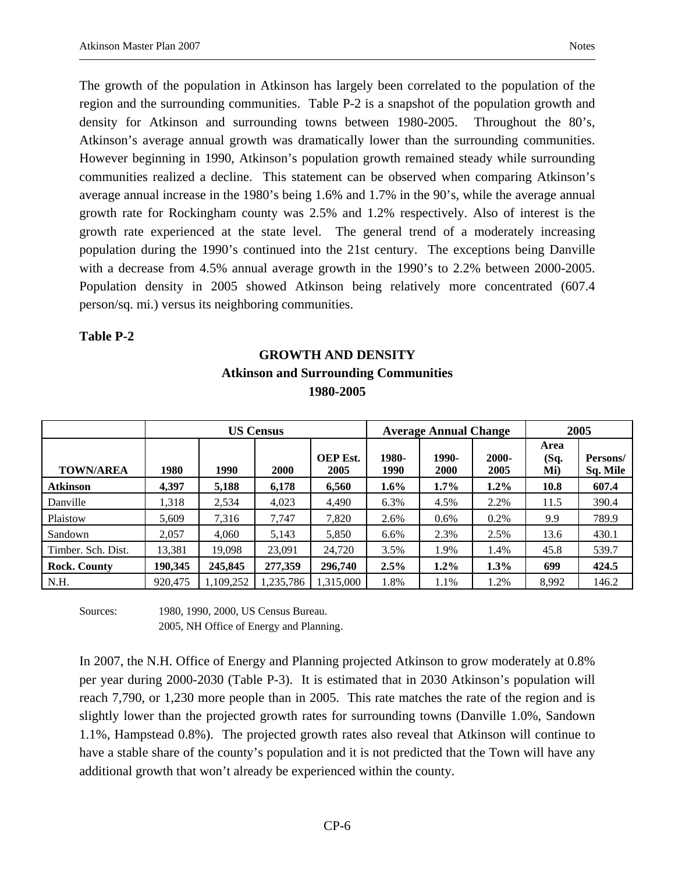The growth of the population in Atkinson has largely been correlated to the population of the region and the surrounding communities. Table P-2 is a snapshot of the population growth and density for Atkinson and surrounding towns between 1980-2005. Throughout the 80's, Atkinson's average annual growth was dramatically lower than the surrounding communities. However beginning in 1990, Atkinson's population growth remained steady while surrounding communities realized a decline. This statement can be observed when comparing Atkinson's average annual increase in the 1980's being 1.6% and 1.7% in the 90's, while the average annual growth rate for Rockingham county was 2.5% and 1.2% respectively. Also of interest is the growth rate experienced at the state level. The general trend of a moderately increasing population during the 1990's continued into the 21st century. The exceptions being Danville with a decrease from 4.5% annual average growth in the 1990's to 2.2% between 2000-2005. Population density in 2005 showed Atkinson being relatively more concentrated (607.4 person/sq. mi.) versus its neighboring communities.

#### **Table P-2**

# **GROWTH AND DENSITY Atkinson and Surrounding Communities 1980-2005**

|                     |         |           | <b>US Census</b> |                         |               | <b>Average Annual Change</b> |               | 2005                |                      |  |
|---------------------|---------|-----------|------------------|-------------------------|---------------|------------------------------|---------------|---------------------|----------------------|--|
| <b>TOWN/AREA</b>    | 1980    | 1990      | 2000             | <b>OEP</b> Est.<br>2005 | 1980-<br>1990 | 1990-<br>2000                | 2000-<br>2005 | Area<br>(Sq.<br>Mi) | Persons/<br>Sq. Mile |  |
| <b>Atkinson</b>     | 4.397   | 5,188     | 6,178            | 6,560                   | $1.6\%$       | $1.7\%$                      | $1.2\%$       | 10.8                | 607.4                |  |
| Danville            | 1.318   | 2,534     | 4,023            | 4,490                   | 6.3%          | 4.5%                         | 2.2%          | 11.5                | 390.4                |  |
| Plaistow            | 5,609   | 7,316     | 7,747            | 7.820                   | 2.6%          | $0.6\%$                      | 0.2%          | 9.9                 | 789.9                |  |
| Sandown             | 2.057   | 4.060     | 5.143            | 5,850                   | 6.6%          | 2.3%                         | 2.5%          | 13.6                | 430.1                |  |
| Timber. Sch. Dist.  | 13,381  | 19,098    | 23,091           | 24,720                  | 3.5%          | 1.9%                         | 1.4%          | 45.8                | 539.7                |  |
| <b>Rock. County</b> | 190,345 | 245,845   | 277,359          | 296,740                 | $2.5\%$       | $1.2\%$                      | $1.3\%$       | 699                 | 424.5                |  |
| N.H.                | 920,475 | 1,109,252 | ,235,786         | 1,315,000               | 1.8%          | 1.1%                         | 1.2%          | 8,992               | 146.2                |  |

Sources: 1980, 1990, 2000, US Census Bureau. 2005, NH Office of Energy and Planning.

In 2007, the N.H. Office of Energy and Planning projected Atkinson to grow moderately at 0.8% per year during 2000-2030 (Table P-3). It is estimated that in 2030 Atkinson's population will reach 7,790, or 1,230 more people than in 2005. This rate matches the rate of the region and is slightly lower than the projected growth rates for surrounding towns (Danville 1.0%, Sandown 1.1%, Hampstead 0.8%). The projected growth rates also reveal that Atkinson will continue to have a stable share of the county's population and it is not predicted that the Town will have any additional growth that won't already be experienced within the county.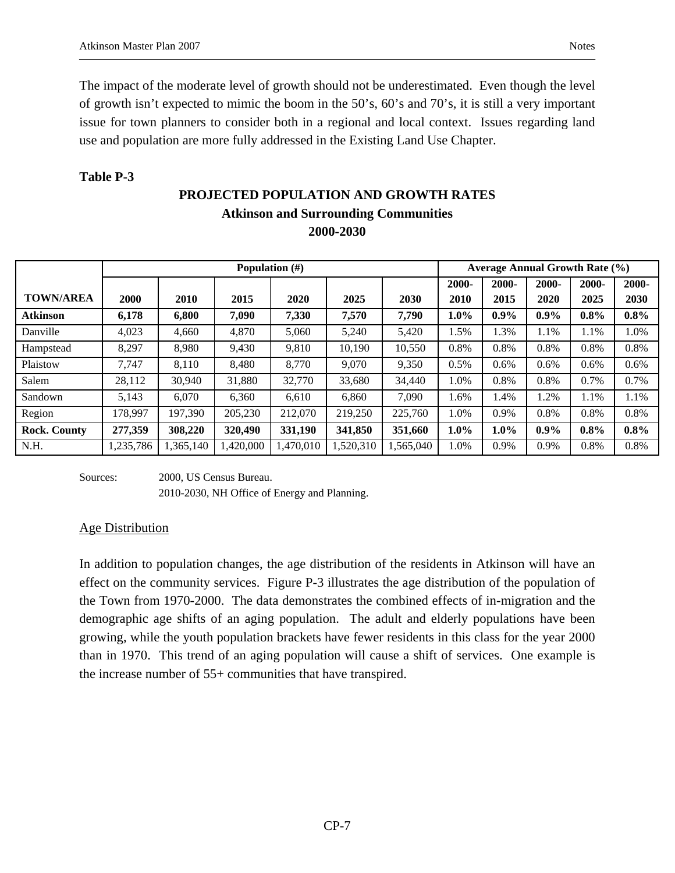### **Table P-3**

# **PROJECTED POPULATION AND GROWTH RATES Atkinson and Surrounding Communities 2000-2030**

|                     |             |           |          | Population $(\#)$ |          |           |         |         | <b>Average Annual Growth Rate (%)</b> |         |         |
|---------------------|-------------|-----------|----------|-------------------|----------|-----------|---------|---------|---------------------------------------|---------|---------|
|                     |             |           |          |                   |          |           | 2000-   | 2000-   | 2000-                                 | 2000-   | 2000-   |
| <b>TOWN/AREA</b>    | <b>2000</b> | 2010      | 2015     | 2020              | 2025     | 2030      | 2010    | 2015    | 2020                                  | 2025    | 2030    |
| <b>Atkinson</b>     | 6,178       | 6,800     | 7.090    | 7,330             | 7,570    | 7,790     | $1.0\%$ | $0.9\%$ | $0.9\%$                               | $0.8\%$ | $0.8\%$ |
| Danville            | 4,023       | 4,660     | 4,870    | 5,060             | 5,240    | 5,420     | 1.5%    | 1.3%    | 1.1%                                  | 1.1%    | 1.0%    |
| Hampstead           | 8,297       | 8,980     | 9,430    | 9,810             | 10,190   | 10,550    | 0.8%    | 0.8%    | 0.8%                                  | 0.8%    | 0.8%    |
| Plaistow            | 7,747       | 8,110     | 8,480    | 8,770             | 9,070    | 9,350     | 0.5%    | $0.6\%$ | $0.6\%$                               | $0.6\%$ | 0.6%    |
| Salem               | 28,112      | 30.940    | 31,880   | 32,770            | 33,680   | 34,440    | 1.0%    | 0.8%    | 0.8%                                  | 0.7%    | 0.7%    |
| Sandown             | 5,143       | 6,070     | 6,360    | 6,610             | 6,860    | 7,090     | 1.6%    | 1.4%    | 1.2%                                  | 1.1%    | 1.1%    |
| Region              | 178.997     | 197,390   | 205,230  | 212,070           | 219,250  | 225,760   | 1.0%    | 0.9%    | 0.8%                                  | 0.8%    | 0.8%    |
| <b>Rock. County</b> | 277,359     | 308,220   | 320,490  | 331,190           | 341,850  | 351,660   | $1.0\%$ | $1.0\%$ | $0.9\%$                               | $0.8\%$ | $0.8\%$ |
| N.H.                | 1,235,786   | 1,365,140 | ,420,000 | ,470,010          | ,520,310 | 1,565,040 | 1.0%    | 0.9%    | 0.9%                                  | 0.8%    | 0.8%    |

Sources: 2000, US Census Bureau.

2010-2030, NH Office of Energy and Planning.

### Age Distribution

In addition to population changes, the age distribution of the residents in Atkinson will have an effect on the community services. Figure P-3 illustrates the age distribution of the population of the Town from 1970-2000. The data demonstrates the combined effects of in-migration and the demographic age shifts of an aging population. The adult and elderly populations have been growing, while the youth population brackets have fewer residents in this class for the year 2000 than in 1970. This trend of an aging population will cause a shift of services. One example is the increase number of 55+ communities that have transpired.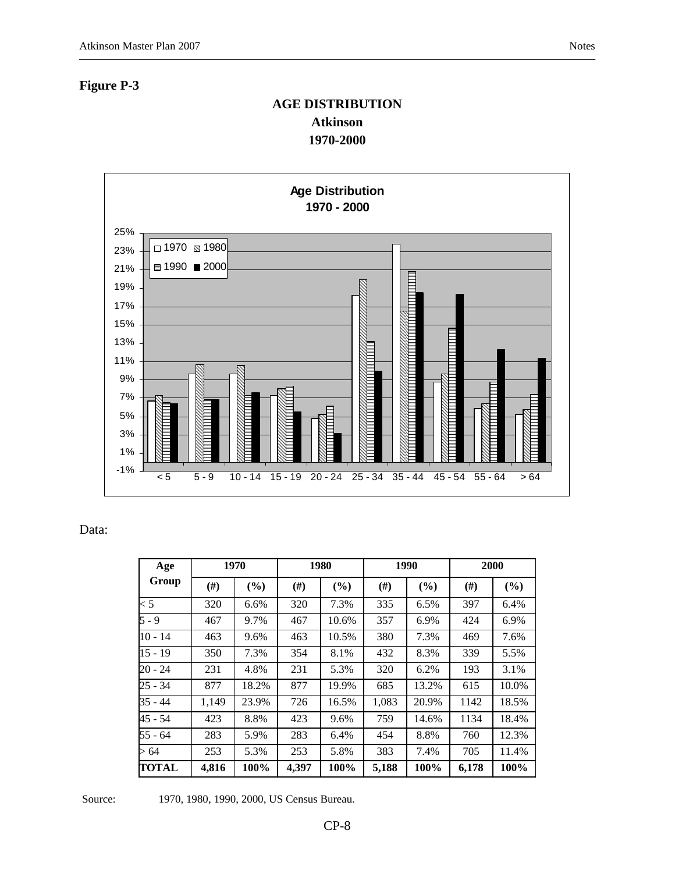### **Figure P-3**

# **AGE DISTRIBUTION Atkinson 1970-2000**



### Data:

| Age       |        | 1970  |        | 1980  |        | 1990  |                   | 2000  |
|-----------|--------|-------|--------|-------|--------|-------|-------------------|-------|
| Group     | $(\#)$ | (%)   | $(\#)$ | (%)   | $(\#)$ | (%)   | (# <sup>2</sup> ) | (%)   |
| $\lt$ 5   | 320    | 6.6%  | 320    | 7.3%  | 335    | 6.5%  | 397               | 6.4%  |
| $5 - 9$   | 467    | 9.7%  | 467    | 10.6% | 357    | 6.9%  | 424               | 6.9%  |
| $10 - 14$ | 463    | 9.6%  | 463    | 10.5% | 380    | 7.3%  | 469               | 7.6%  |
| $15 - 19$ | 350    | 7.3%  | 354    | 8.1%  | 432    | 8.3%  | 339               | 5.5%  |
| $20 - 24$ | 231    | 4.8%  | 231    | 5.3%  | 320    | 6.2%  | 193               | 3.1%  |
| 25 - 34   | 877    | 18.2% | 877    | 19.9% | 685    | 13.2% | 615               | 10.0% |
| $35 - 44$ | 1,149  | 23.9% | 726    | 16.5% | 1,083  | 20.9% | 1142              | 18.5% |
| $45 - 54$ | 423    | 8.8%  | 423    | 9.6%  | 759    | 14.6% | 1134              | 18.4% |
| $55 - 64$ | 283    | 5.9%  | 283    | 6.4%  | 454    | 8.8%  | 760               | 12.3% |
| >64       | 253    | 5.3%  | 253    | 5.8%  | 383    | 7.4%  | 705               | 11.4% |
| TOTAL     | 4,816  | 100%  | 4,397  | 100%  | 5,188  | 100%  | 6,178             | 100%  |

Source: 1970, 1980, 1990, 2000, US Census Bureau.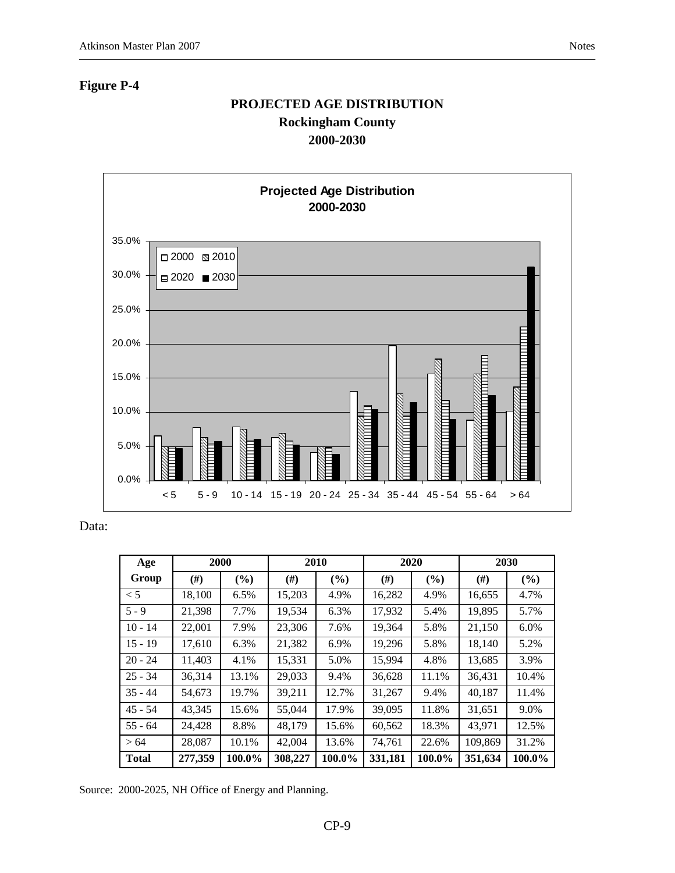# **Figure P-4**

# **PROJECTED AGE DISTRIBUTION Rockingham County 2000-2030**



Data:

| Age          |                   | 2000  |         | 2010   |          | 2020   | 2030    |         |  |
|--------------|-------------------|-------|---------|--------|----------|--------|---------|---------|--|
| Group        | $^{(#)}$          | (%)   | $(\#)$  | $($ %) | $^{(#)}$ | (%)    | (#)     | (%)     |  |
| $\lt$ 5      | 18,100            | 6.5%  | 15,203  | 4.9%   | 16,282   | 4.9%   | 16,655  | 4.7%    |  |
| $5 - 9$      | 21,398            | 7.7%  | 19,534  | 6.3%   | 17,932   | 5.4%   | 19,895  | 5.7%    |  |
| $10 - 14$    | 22,001            | 7.9%  | 23,306  | 7.6%   | 19,364   | 5.8%   | 21,150  | $6.0\%$ |  |
| $15 - 19$    | 17,610            | 6.3%  | 21,382  | 6.9%   | 19,296   | 5.8%   | 18,140  | 5.2%    |  |
| $20 - 24$    | 11,403            | 4.1%  | 15,331  | 5.0%   | 15,994   | 4.8%   | 13,685  | 3.9%    |  |
| $25 - 34$    | 36,314            | 13.1% | 29,033  | 9.4%   | 36,628   | 11.1%  | 36,431  | 10.4%   |  |
| $35 - 44$    | 54,673            | 19.7% | 39,211  | 12.7%  | 31,267   | 9.4%   | 40,187  | 11.4%   |  |
| $45 - 54$    | 43,345            | 15.6% | 55,044  | 17.9%  | 39,095   | 11.8%  | 31,651  | 9.0%    |  |
| $55 - 64$    | 24,428            | 8.8%  | 48.179  | 15.6%  | 60,562   | 18.3%  | 43.971  | 12.5%   |  |
| > 64         | 28,087            | 10.1% | 42,004  | 13.6%  | 74,761   | 22.6%  | 109,869 | 31.2%   |  |
| <b>Total</b> | 277,359<br>100.0% |       | 308,227 | 100.0% | 331,181  | 100.0% | 351,634 | 100.0%  |  |

Source: 2000-2025, NH Office of Energy and Planning.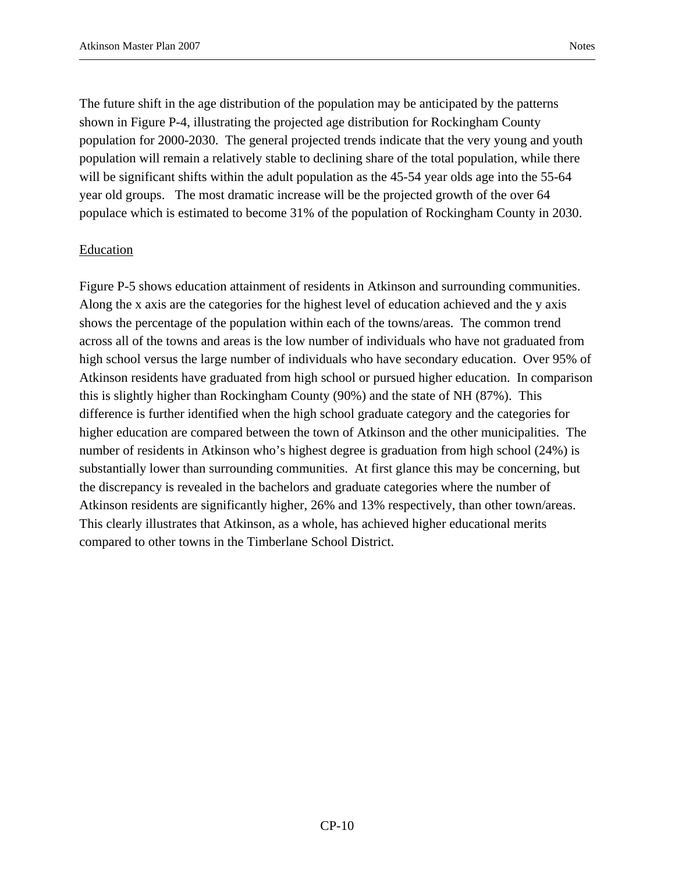The future shift in the age distribution of the population may be anticipated by the patterns shown in Figure P-4, illustrating the projected age distribution for Rockingham County population for 2000-2030. The general projected trends indicate that the very young and youth population will remain a relatively stable to declining share of the total population, while there will be significant shifts within the adult population as the 45-54 year olds age into the 55-64 year old groups. The most dramatic increase will be the projected growth of the over 64 populace which is estimated to become 31% of the population of Rockingham County in 2030.

#### Education

Figure P-5 shows education attainment of residents in Atkinson and surrounding communities. Along the x axis are the categories for the highest level of education achieved and the y axis shows the percentage of the population within each of the towns/areas. The common trend across all of the towns and areas is the low number of individuals who have not graduated from high school versus the large number of individuals who have secondary education. Over 95% of Atkinson residents have graduated from high school or pursued higher education. In comparison this is slightly higher than Rockingham County (90%) and the state of NH (87%). This difference is further identified when the high school graduate category and the categories for higher education are compared between the town of Atkinson and the other municipalities. The number of residents in Atkinson who's highest degree is graduation from high school (24%) is substantially lower than surrounding communities. At first glance this may be concerning, but the discrepancy is revealed in the bachelors and graduate categories where the number of Atkinson residents are significantly higher, 26% and 13% respectively, than other town/areas. This clearly illustrates that Atkinson, as a whole, has achieved higher educational merits compared to other towns in the Timberlane School District.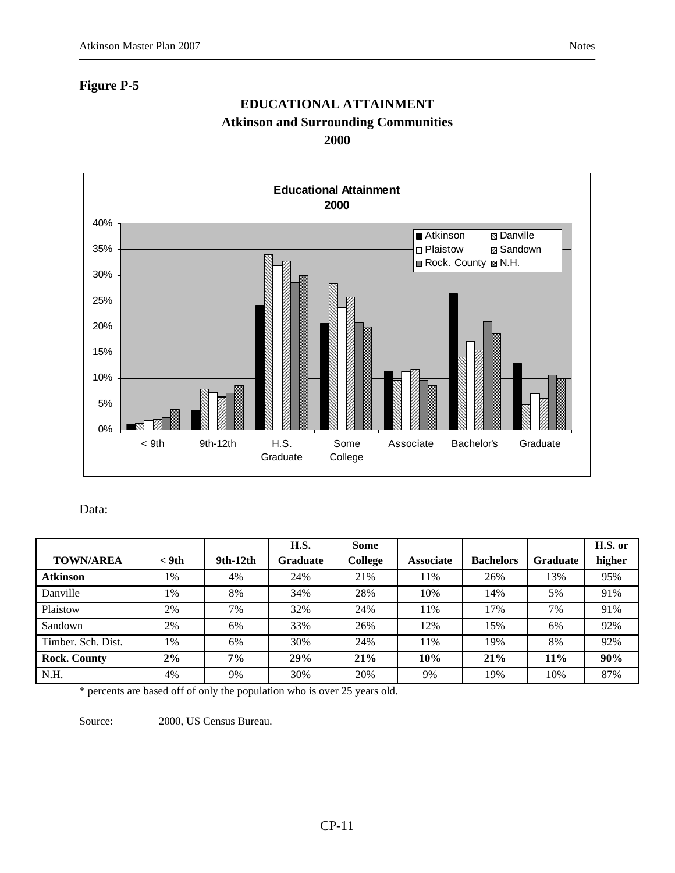### **Figure P-5**

# **EDUCATIONAL ATTAINMENT Atkinson and Surrounding Communities 2000**



Data:

|                     |         |            | H.S.            | <b>Some</b> |                  |                  |          | H.S. or |
|---------------------|---------|------------|-----------------|-------------|------------------|------------------|----------|---------|
| <b>TOWN/AREA</b>    | $<$ 9th | $9th-12th$ | <b>Graduate</b> | College     | <b>Associate</b> | <b>Bachelors</b> | Graduate | higher  |
| <b>Atkinson</b>     | $1\%$   | 4%         | 24%             | 21%         | 11%              | 26%              | 13%      | 95%     |
| Danville            | 1%      | 8%         | 34%             | 28%         | 10%              | 14%              | 5%       | 91%     |
| Plaistow            | 2%      | 7%         | 32%             | 24%         | 11%              | 17%              | 7%       | 91%     |
| Sandown             | 2%      | 6%         | 33%             | 26%         | 12%              | 15%              | 6%       | 92%     |
| Timber. Sch. Dist.  | $1\%$   | 6%         | 30%             | 24%         | 11%              | 19%              | 8%       | 92%     |
| <b>Rock. County</b> | 2%      | 7%         | 29%             | 21%         | 10%              | 21%              | $11\%$   | 90%     |
| N.H.                | 4%      | 9%         | 30%             | 20%         | 9%               | 19%              | 10%      | 87%     |

\* percents are based off of only the population who is over 25 years old.

Source: 2000, US Census Bureau.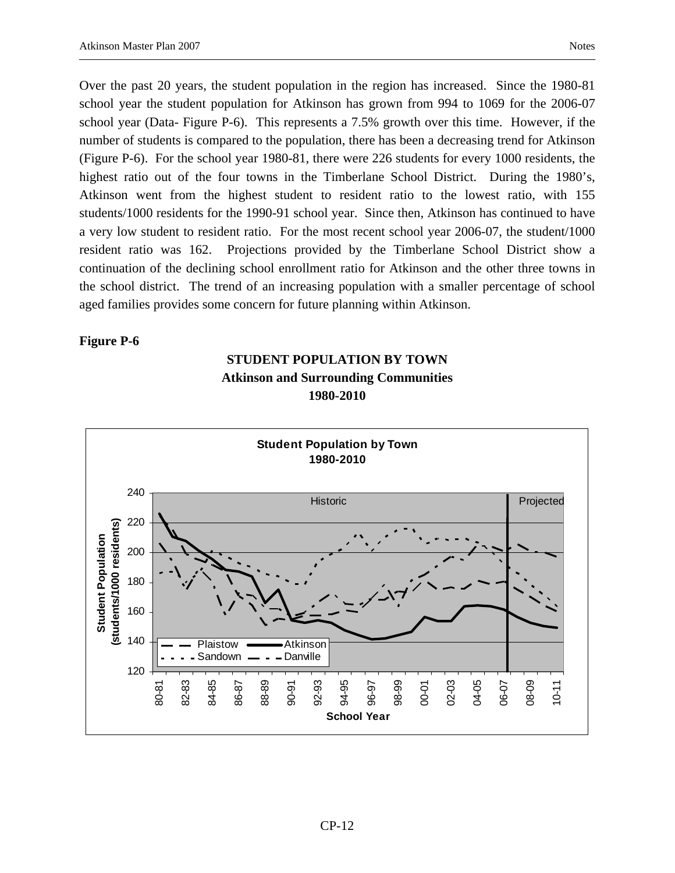Over the past 20 years, the student population in the region has increased. Since the 1980-81 school year the student population for Atkinson has grown from 994 to 1069 for the 2006-07 school year (Data- Figure P-6). This represents a 7.5% growth over this time. However, if the number of students is compared to the population, there has been a decreasing trend for Atkinson (Figure P-6). For the school year 1980-81, there were 226 students for every 1000 residents, the highest ratio out of the four towns in the Timberlane School District. During the 1980's, Atkinson went from the highest student to resident ratio to the lowest ratio, with 155 students/1000 residents for the 1990-91 school year. Since then, Atkinson has continued to have a very low student to resident ratio. For the most recent school year 2006-07, the student/1000 resident ratio was 162. Projections provided by the Timberlane School District show a continuation of the declining school enrollment ratio for Atkinson and the other three towns in the school district. The trend of an increasing population with a smaller percentage of school aged families provides some concern for future planning within Atkinson.

#### **Figure P-6**



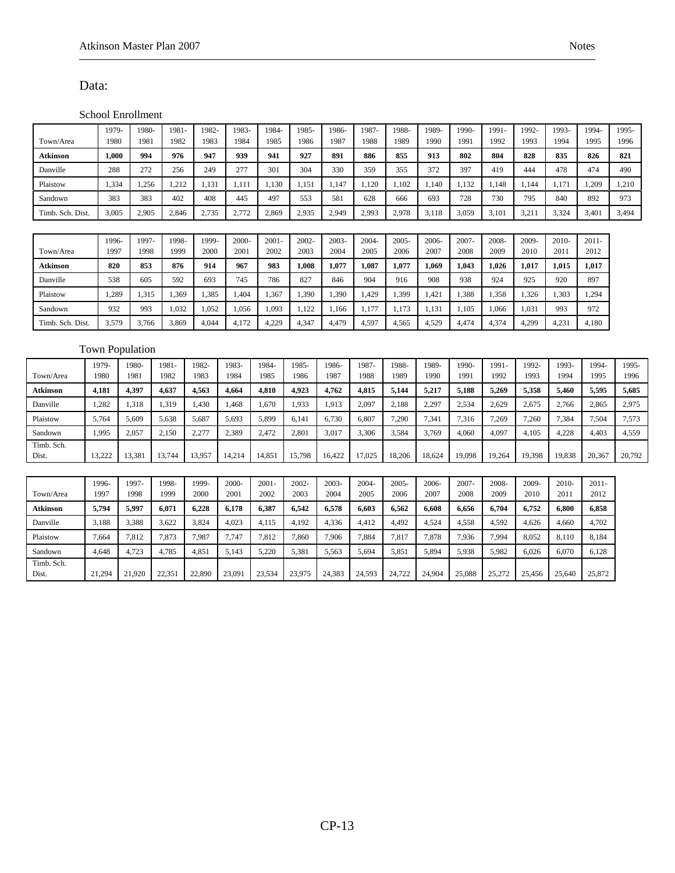#### Data:

Timb. Sch.

#### School Enrollment

|                  | 1979-                  |        | 1980- | 1981   | 1982   | 1983-         | 1984             | 1985-            | 1986-         | 1987-         | 1988-         | 1989-         | 1990-         | 1991-         | 1992-         | 1993-   | 1994-            | 1995-  |
|------------------|------------------------|--------|-------|--------|--------|---------------|------------------|------------------|---------------|---------------|---------------|---------------|---------------|---------------|---------------|---------|------------------|--------|
| Town/Area        | 1980                   |        | 1981  | 1982   | 1983   | 1984          | 1985             | 1986             | 1987          | 1988          | 1989          | 1990          | 1991          | 1992          | 1993          | 1994    | 1995             | 1996   |
| Atkinson         | 1,000                  |        | 994   | 976    | 947    | 939           | 941              | 927              | 891           | 886           | 855           | 913           | 802           | 804           | 828           | 835     | 826              | 821    |
| Danville         | 288                    |        | 272   | 256    | 249    | 277           | 301              | 304              | 330           | 359           | 355           | 372           | 397           | 419           | 444           | 478     | 474              | 490    |
| Plaistow         | 1,334                  |        | 1,256 | 1,212  | 1,131  | 1.111         | 1.130            | 1.151            | 1.147         | 1.120         | 1.102         | 1.140         | 1,132         | 1.148         | 1.144         | 1.171   | 1,209            | 1,210  |
| Sandown          | 383                    |        | 383   | 402    | 408    | 445           | 497              | 553              | 581           | 628           | 666           | 693           | 728           | 730           | 795           | 840     | 892              | 973    |
| Timb. Sch. Dist. | 3,005                  |        | 2,905 | 2,846  | 2,735  | 2,772         | 2,869            | 2,935            | 2,949         | 2,993         | 2,978         | 3,118         | 3,059         | 3,101         | 3,211         | 3,324   | 3,401            | 3,494  |
|                  |                        |        |       |        |        |               |                  |                  |               |               |               |               |               |               |               |         |                  |        |
|                  | 1996-                  |        | 1997- | 1998-  | 1999-  | 2000-         | $2001 -$         | 2002-            | 2003-         | $2004 -$      | 2005-         | 2006-         | 2007-         | 2008-         | 2009-         | 2010-   | $2011 -$         |        |
| Town/Area        | 1997                   |        | 1998  | 1999   | 2000   | 2001          | 2002             | 2003             | 2004          | 2005          | 2006          | 2007          | 2008          | 2009          | 2010          | 2011    | 2012             |        |
| Atkinson         | 820                    |        | 853   | 876    | 914    | 967           | 983              | 1,008            | 1,077         | 1,087         | 1,077         | 1,069         | 1,043         | 1,026         | 1,017         | 1,015   | 1,017            |        |
| Danville         | 538                    |        | 605   | 592    | 693    | 745           | 786              | 827              | 846           | 904           | 916           | 908           | 938           | 924           | 925           | 920     | 897              |        |
| Plaistow         | 1,289                  |        | 1,315 | 1,369  | 1,385  | 1,404         | 1,367            | 1,390            | 1,390         | 1,429         | 1,399         | 1,421         | 1,388         | 1,358         | 1,326         | 1,303   | 1,294            |        |
| Sandown          | 932                    |        | 993   | 1.032  | 1,052  | 1,056         | 1,093            | 1,122            | 1.166         | 1,177         | 1,173         | 1,131         | 1,105         | 1.066         | 1.031         | 993     | 972              |        |
| Timb. Sch. Dist. | 3,579                  |        | 3,766 | 3,869  | 4,044  | 4,172         | 4,229            | 4,347            | 4,479         | 4,597         | 4,565         | 4,529         | 4,474         | 4,374         | 4,299         | 4,231   | 4,180            |        |
|                  |                        |        |       |        |        |               |                  |                  |               |               |               |               |               |               |               |         |                  |        |
|                  | <b>Town Population</b> |        |       |        |        |               |                  |                  |               |               |               |               |               |               |               |         |                  |        |
|                  | 1979-                  | 1980-  |       | 1981-  | 1982-  | 1983-         | 1984-            | 1985-            | 1986-         | 1987-         | 1988-         | 1989-         | 1990-         | 1991-         | 1992-         | 1993-   | 1994-            | 1995-  |
| Town/Area        | 1980                   | 1981   |       | 1982   | 1983   | 1984          | 1985             | 1986             | 1987          | 1988          | 1989          | 1990          | 1991          | 1992          | 1993          | 1994    | 1995             | 1996   |
| Atkinson         | 4,181                  | 4,397  |       | 4,637  | 4,563  | 4,664         | 4,810            | 4,923            | 4,762         | 4,815         | 5,144         | 5,217         | 5,188         | 5,269         | 5,358         | 5,460   | 5,595            | 5,685  |
| Danville         | 1,282                  | 1,318  |       | 1,319  | 1,430  | 1,468         | 1,670            | 1,933            | 1,913         | 2,097         | 2,188         | 2,297         | 2,534         | 2,629         | 2,675         | 2,766   | 2,865            | 2,975  |
| Plaistow         | 5,764                  | 5,609  |       | 5,638  | 5,687  | 5.693         | 5,899            | 6.141            | 6,730         | 6,807         | 7,290         | 7,341         | 7,316         | 7,269         | 7,260         | 7,384   | 7,504            | 7,573  |
| Sandown          | 1,995                  | 2,057  |       | 2,150  | 2,277  | 2,389         | 2,472            | 2,801            | 3,017         | 3,306         | 3,584         | 3,769         | 4,060         | 4.097         | 4,105         | 4,228   | 4,403            | 4,559  |
| Timb. Sch.       |                        |        |       |        |        |               |                  |                  |               |               |               |               |               |               |               |         |                  |        |
| Dist.            | 13,222                 | 13,381 |       | 13,744 | 13,957 | 14,214        | 14,851           | 15,798           | 16,422        | 17,025        | 18,206        | 18,624        | 19,098        | 19,264        | 19,398        | 19,838  | 20,367           | 20,792 |
|                  |                        | 1997-  |       | 1998-  | 1999-  |               |                  |                  |               |               |               |               |               |               |               | $2010-$ |                  |        |
| Town/Area        | 1996-<br>1997          | 1998   |       | 1999   | 2000   | 2000-<br>2001 | $2001 -$<br>2002 | $2002 -$<br>2003 | 2003-<br>2004 | 2004-<br>2005 | 2005-<br>2006 | 2006-<br>2007 | 2007-<br>2008 | 2008-<br>2009 | 2009-<br>2010 | 2011    | $2011 -$<br>2012 |        |
| Atkinson         | 5,794                  | 5,997  |       | 6,071  | 6,228  | 6,178         | 6,387            | 6,542            | 6,578         | 6,603         | 6,562         | 6,608         | 6,656         | 6,704         | 6,752         | 6,800   | 6,858            |        |
| Danville         | 3,188                  | 3,388  |       | 3,622  | 3,824  | 4,023         | 4,115            | 4,192            | 4,336         | 4,412         | 4,492         | 4,524         | 4,558         | 4,592         | 4,626         | 4,660   | 4,702            |        |
| Plaistow         | 7,664                  | 7,812  |       | 7,873  | 7,987  | 7,747         | 7,812            | 7,860            | 7,906         | 7,884         | 7,817         | 7,878         | 7,936         | 7,994         | 8,052         | 8,110   | 8,184            |        |
| Sandown          | 4,648                  | 4,723  |       | 4,785  | 4,851  | 5,143         | 5,220            | 5,381            | 5,563         | 5.694         | 5,851         | 5,894         | 5,938         | 5.982         | 6.026         | 6.070   | 6,128            |        |
|                  |                        |        |       |        |        |               |                  |                  |               |               |               |               |               |               |               |         |                  |        |

Dist. 21,294 21,920 22,351 22,890 23,091 23,534 23,975 24,383 24,593 24,722 24,904 25,088 25,272 25,456 25,640 25,872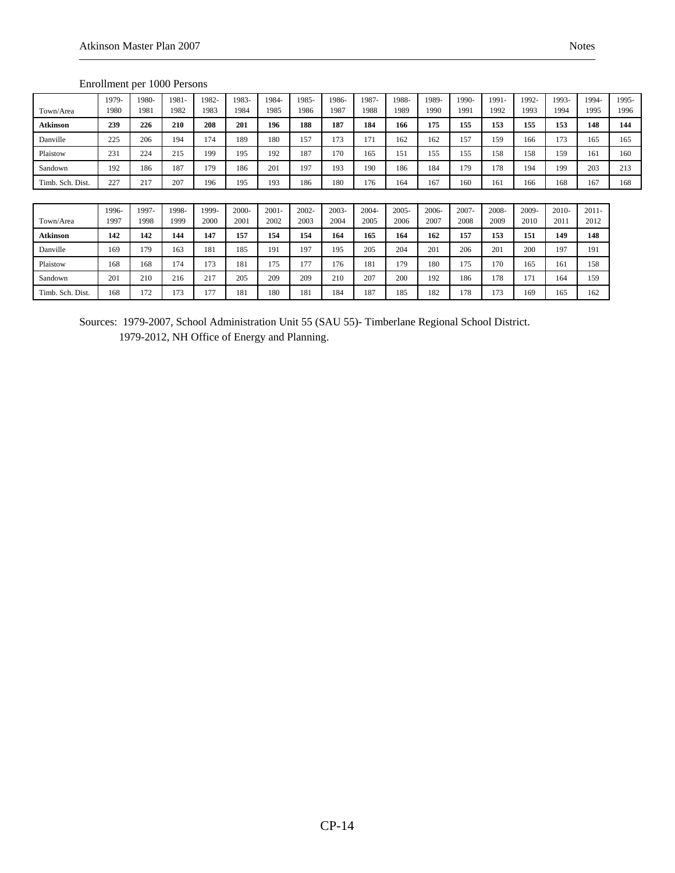|                  | Ellionnielli per Tooo Fersons |               |               |               |               |               |               |               |               |               |               |               |               |               |               |               |               |
|------------------|-------------------------------|---------------|---------------|---------------|---------------|---------------|---------------|---------------|---------------|---------------|---------------|---------------|---------------|---------------|---------------|---------------|---------------|
| Town/Area        | 1979-<br>1980                 | 1980-<br>1981 | 1981-<br>1982 | 1982-<br>1983 | 1983-<br>1984 | 1984-<br>1985 | 1985-<br>1986 | 1986-<br>1987 | 1987-<br>1988 | 1988-<br>1989 | 1989-<br>1990 | 1990-<br>1991 | 1991-<br>1992 | 1992-<br>1993 | 1993-<br>1994 | 1994-<br>1995 | 1995-<br>1996 |
| <b>Atkinson</b>  | 239                           | 226           | 210           | 208           | 201           | 196           | 188           | 187           | 184           | 166           | 175           | 155           | 153           | 155           | 153           | 148           | 144           |
| Danville         | 225                           | 206           | 194           | 174           | 189           | 180           | 157           | 173           | 171           | 162           | 162           | 157           | 159           | 166           | 173           | 165           | 165           |
| Plaistow         | 231                           | 224           | 215           | 199           | 195           | 192           | 187           | 170           | 165           | 151           | 155           | 155           | 158           | 158           | 159           | 161           | 160           |
| Sandown          | 192                           | 186           | 187           | 179           | 186           | 201           | 197           | 193           | 190           | 186           | 184           | 179           | 178           | 194           | 199           | 203           | 213           |
| Timb. Sch. Dist. | 227                           | 217           | 207           | 196           | 195           | 193           | 186           | 180           | 176           | 164           | 167           | 160           | 161           | 166           | 168           | 167           | 168           |
|                  |                               |               |               |               |               |               |               |               |               |               |               |               |               |               |               |               |               |
|                  | 1996-                         | 1997-         | 1998-         | 1999-         | 2000-         | $2001 -$      | 2002-         | 2003-         | $2004 -$      | $2005 -$      | 2006-         | 2007-         | 2008-         | 2009-         | $2010-$       | $2011 -$      |               |
| Town/Area        | 1997                          | 1998          | 1999          | 2000          | 2001          | 2002          | 2003          | 2004          | 2005          | 2006          | 2007          | 2008          | 2009          | 2010          | 2011          | 2012          |               |
| <b>Atkinson</b>  | 142                           | 142           | 144           | 147           | 157           | 154           | 154           | 164           | 165           | 164           | 162           | 157           | 153           | 151           | 149           | 148           |               |

#### Enrollment per 1000 Persons

Sources: 1979-2007, School Administration Unit 55 (SAU 55)- Timberlane Regional School District. 1979-2012, NH Office of Energy and Planning.

Danville 169 179 163 181 185 191 197 195 205 204 201 206 201 200 197 191 Plaistow 168 168 174 173 181 175 177 176 181 179 180 175 170 165 161 158 Sandown 201 210 216 217 205 209 209 210 207 200 192 186 178 171 164 159 Timb. Sch. Dist. | 168 | 172 | 173 | 177 | 181 | 180 | 181 | 184 | 187 | 185 | 182 | 178 | 173 | 169 | 165 | 162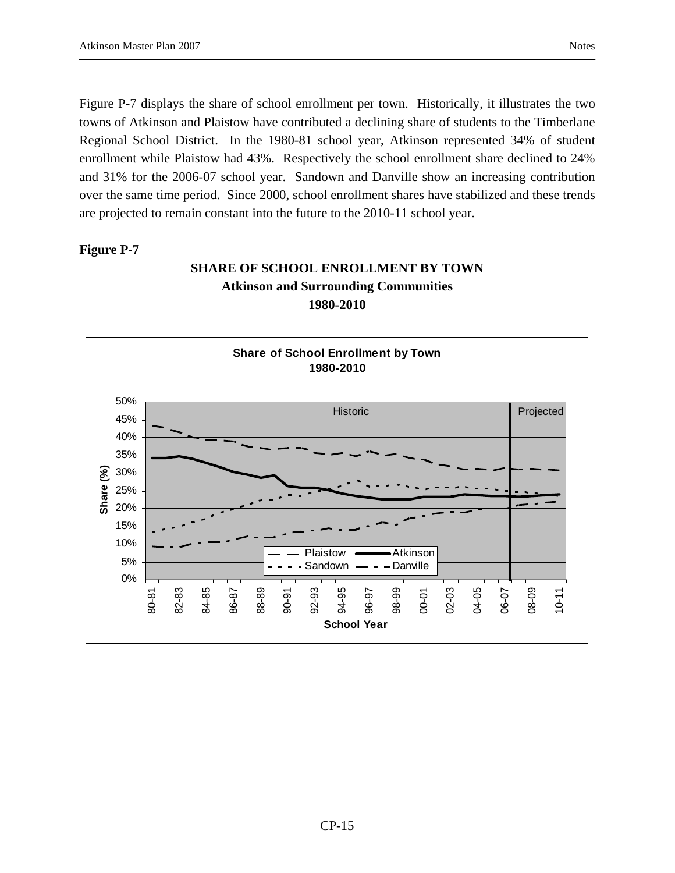Figure P-7 displays the share of school enrollment per town. Historically, it illustrates the two towns of Atkinson and Plaistow have contributed a declining share of students to the Timberlane Regional School District. In the 1980-81 school year, Atkinson represented 34% of student enrollment while Plaistow had 43%. Respectively the school enrollment share declined to 24% and 31% for the 2006-07 school year. Sandown and Danville show an increasing contribution over the same time period. Since 2000, school enrollment shares have stabilized and these trends are projected to remain constant into the future to the 2010-11 school year.

#### **Figure P-7**

## **SHARE OF SCHOOL ENROLLMENT BY TOWN Atkinson and Surrounding Communities 1980-2010**

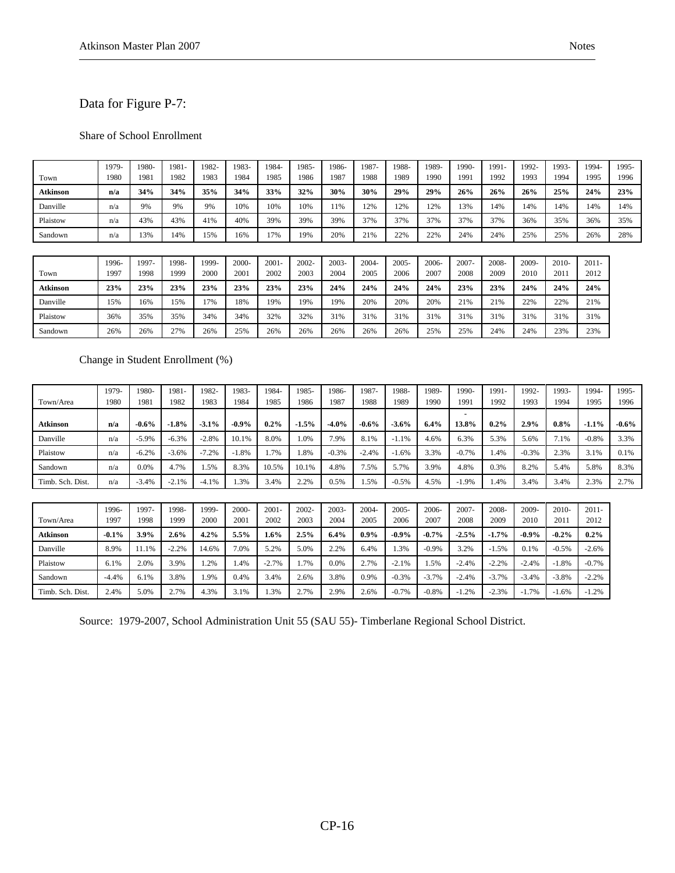### Data for Figure P-7:

#### Share of School Enrollment

| Town            | 1979-<br>1980 | 1980-<br>1981 | 1981-<br>1982 | 1982-<br>1983 | 1983-<br>1984 | 1984-<br>1985    | 1985-<br>1986    | 1986-<br>1987    | 1987-<br>1988    | 1988-<br>1989    | 1989-<br>1990 | 1990-<br>1991    | 1991-<br>1992 | 1992-<br>1993 | 1993-<br>1994   | 1994-<br>1995    | 1995-<br>1996 |
|-----------------|---------------|---------------|---------------|---------------|---------------|------------------|------------------|------------------|------------------|------------------|---------------|------------------|---------------|---------------|-----------------|------------------|---------------|
| Atkinson        | n/a           | 34%           | 34%           | 35%           | 34%           | 33%              | 32%              | 30%              | 30%              | 29%              | 29%           | 26%              | 26%           | 26%           | 25%             | 24%              | 23%           |
| Danville        | n/a           | 9%            | 9%            | 9%            | 10%           | 10%              | 10%              | 11%              | 12%              | 12%              | 12%           | 13%              | 14%           | 14%           | 14%             | 14%              | 14%           |
| Plaistow        | n/a           | 43%           | 43%           | 41%           | 40%           | 39%              | 39%              | 39%              | 37%              | 37%              | 37%           | 37%              | 37%           | 36%           | 35%             | 36%              | 35%           |
| Sandown         | n/a           | 13%           | 14%           | 15%           | 16%           | 17%              | 19%              | 20%              | 21%              | 22%              | 22%           | 24%              | 24%           | 25%           | 25%             | 26%              | 28%           |
|                 |               |               |               |               |               |                  |                  |                  |                  |                  |               |                  |               |               |                 |                  |               |
| Town            | 1996-<br>1997 | 1997-<br>1998 | 1998-<br>1999 | 1999-<br>2000 | 2000-<br>2001 | $2001 -$<br>2002 | $2002 -$<br>2003 | $2003 -$<br>2004 | $2004 -$<br>2005 | $2005 -$<br>2006 | 2006-<br>2007 | $2007 -$<br>2008 | 2008-<br>2009 | 2009-<br>2010 | $2010-$<br>2011 | $2011 -$<br>2012 |               |
| <b>Atkinson</b> | 23%           | 23%           | 23%           | 23%           | 23%           | 23%              | 23%              | 24%              | 24%              | 24%              | 24%           | 23%              | 23%           | 24%           | 24%             | 24%              |               |
| Danville        | 15%           | 16%           | 15%           | 17%           | 18%           | 19%              | 19%              | 19%              | 20%              | 20%              | 20%           | 21%              | 21%           | 22%           | 22%             | 21%              |               |
| Plaistow        | 36%           | 35%           | 35%           | 34%           | 34%           | 32%              | 32%              | 31%              | 31%              | 31%              | 31%           | 31%              | 31%           | 31%           | 31%             | 31%              |               |
| Sandown         | 26%           | 26%           | 27%           | 26%           | 25%           | 26%              | 26%              | 26%              | 26%              | 26%              | 25%           | 25%              | 24%           | 24%           | 23%             | 23%              |               |
|                 |               |               |               |               |               |                  |                  |                  |                  |                  |               |                  |               |               |                 |                  |               |
|                 |               |               |               |               |               |                  |                  |                  |                  |                  |               |                  |               |               |                 |                  |               |

Change in Student Enrollment (%)

|                  | 1979-   | 1980-   | 1981-   | 1982-   | 1983-   | 1984-    | 1985-   | 1986-    | 1987-    | 1988-    | 1989-    | 1990-    | 1991-   | 1992-    | 1993-   | 1994-    | 1995-    |
|------------------|---------|---------|---------|---------|---------|----------|---------|----------|----------|----------|----------|----------|---------|----------|---------|----------|----------|
| Town/Area        | 1980    | 1981    | 1982    | 1983    | 1984    | 1985     | 1986    | 1987     | 1988     | 1989     | 1990     | 1991     | 1992    | 1993     | 1994    | 1995     | 1996     |
| Atkinson         | n/a     | $-0.6%$ | $-1.8%$ | $-3.1%$ | $-0.9%$ | $0.2\%$  | $-1.5%$ | $-4.0\%$ | $-0.6\%$ | $-3.6\%$ | 6.4%     | 13.8%    | 0.2%    | 2.9%     | $0.8\%$ | $-1.1\%$ | $-0.6\%$ |
| Danville         | n/a     | $-5.9%$ | $-6.3%$ | $-2.8%$ | 10.1%   | 8.0%     | 1.0%    | 7.9%     | 8.1%     | $-1.1%$  | 4.6%     | 6.3%     | 5.3%    | 5.6%     | 7.1%    | $-0.8%$  | 3.3%     |
| Plaistow         | n/a     | $-6.2%$ | $-3.6%$ | $-7.2%$ | $-1.8%$ | 1.7%     | 1.8%    | $-0.3%$  | $-2.4%$  | $-1.6%$  | 3.3%     | $-0.7%$  | 1.4%    | $-0.3%$  | 2.3%    | 3.1%     | 0.1%     |
| Sandown          | n/a     | 0.0%    | 4.7%    | 1.5%    | 8.3%    | 10.5%    | 10.1%   | 4.8%     | 7.5%     | 5.7%     | 3.9%     | 4.8%     | 0.3%    | 8.2%     | 5.4%    | 5.8%     | 8.3%     |
| Timb. Sch. Dist. | n/a     | $-3.4%$ | $-2.1%$ | $-4.1%$ | 1.3%    | 3.4%     | 2.2%    | 0.5%     | 1.5%     | $-0.5%$  | 4.5%     | $-1.9%$  | 1.4%    | 3.4%     | 3.4%    | 2.3%     | 2.7%     |
|                  |         |         |         |         |         |          |         |          |          |          |          |          |         |          |         |          |          |
|                  | 1996-   | 1997-   | 1998-   | 1999-   | 2000-   | $2001 -$ | 2002-   | $2003 -$ | $2004 -$ | $2005 -$ | $2006 -$ | $2007 -$ | 2008-   | 2009-    | 2010-   | $2011 -$ |          |
| Town/Area        | 1997    | 1998    | 1999    | 2000    | 2001    | 2002     | 2003    | 2004     | 2005     | 2006     | 2007     | 2008     | 2009    | 2010     | 2011    | 2012     |          |
| Atkinson         | $-0.1%$ | 3.9%    | 2.6%    | 4.2%    | 5.5%    | 1.6%     | 2.5%    | 6.4%     | $0.9\%$  | $-0.9\%$ | $-0.7%$  | $-2.5%$  | $-1.7%$ | $-0.9\%$ | $-0.2%$ | $0.2\%$  |          |
| Danville         | 8.9%    | 11.1%   | $-2.2%$ | 14.6%   | 7.0%    | 5.2%     | 5.0%    | 2.2%     | 6.4%     | 1.3%     | $-0.9\%$ | 3.2%     | $-1.5%$ | 0.1%     | $-0.5%$ | $-2.6\%$ |          |
| Plaistow         | 6.1%    | 2.0%    | 3.9%    | 1.2%    | 1.4%    | $-2.7%$  | 1.7%    | 0.0%     | 2.7%     | $-2.1%$  | 1.5%     | $-2.4%$  | $-2.2%$ | $-2.4%$  | $-1.8%$ | $-0.7%$  |          |
| Sandown          | $-4.4%$ | 6.1%    | 3.8%    | 1.9%    | 0.4%    | 3.4%     | 2.6%    | 3.8%     | 0.9%     | $-0.3%$  | $-3.7%$  | $-2.4%$  | $-3.7%$ | $-3.4%$  | $-3.8%$ | $-2.2%$  |          |
| Timb. Sch. Dist. | 2.4%    | 5.0%    | 2.7%    | 4.3%    | 3.1%    | 1.3%     | 2.7%    | 2.9%     | 2.6%     | $-0.7%$  | $-0.8%$  | $-1.2%$  | $-2.3%$ | $-1.7%$  | $-1.6%$ | $-1.2%$  |          |

Source: 1979-2007, School Administration Unit 55 (SAU 55)- Timberlane Regional School District.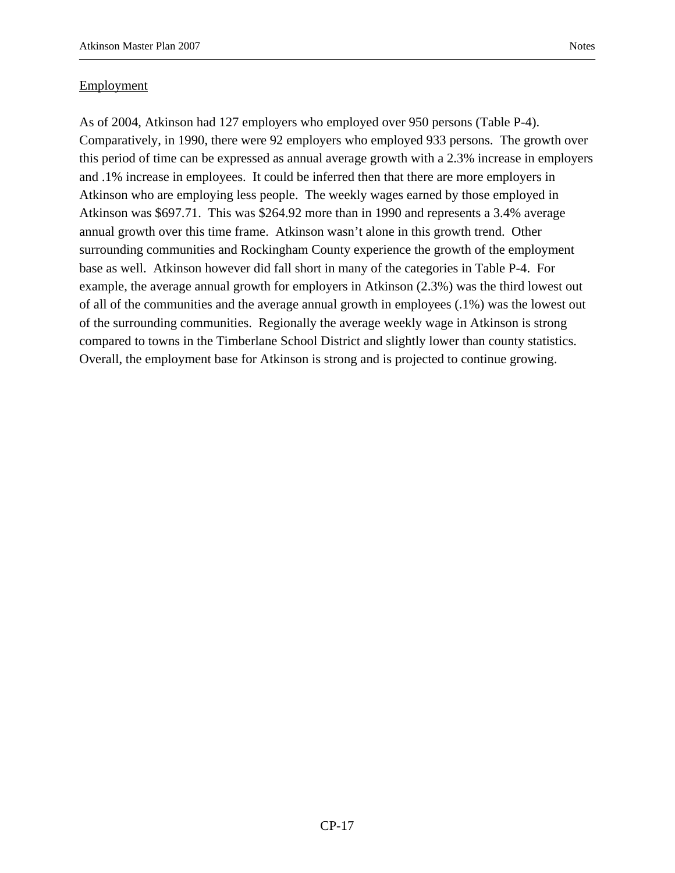#### **Employment**

As of 2004, Atkinson had 127 employers who employed over 950 persons (Table P-4). Comparatively, in 1990, there were 92 employers who employed 933 persons. The growth over this period of time can be expressed as annual average growth with a 2.3% increase in employers and .1% increase in employees. It could be inferred then that there are more employers in Atkinson who are employing less people. The weekly wages earned by those employed in Atkinson was \$697.71. This was \$264.92 more than in 1990 and represents a 3.4% average annual growth over this time frame. Atkinson wasn't alone in this growth trend. Other surrounding communities and Rockingham County experience the growth of the employment base as well. Atkinson however did fall short in many of the categories in Table P-4. For example, the average annual growth for employers in Atkinson (2.3%) was the third lowest out of all of the communities and the average annual growth in employees (.1%) was the lowest out of the surrounding communities. Regionally the average weekly wage in Atkinson is strong compared to towns in the Timberlane School District and slightly lower than county statistics. Overall, the employment base for Atkinson is strong and is projected to continue growing.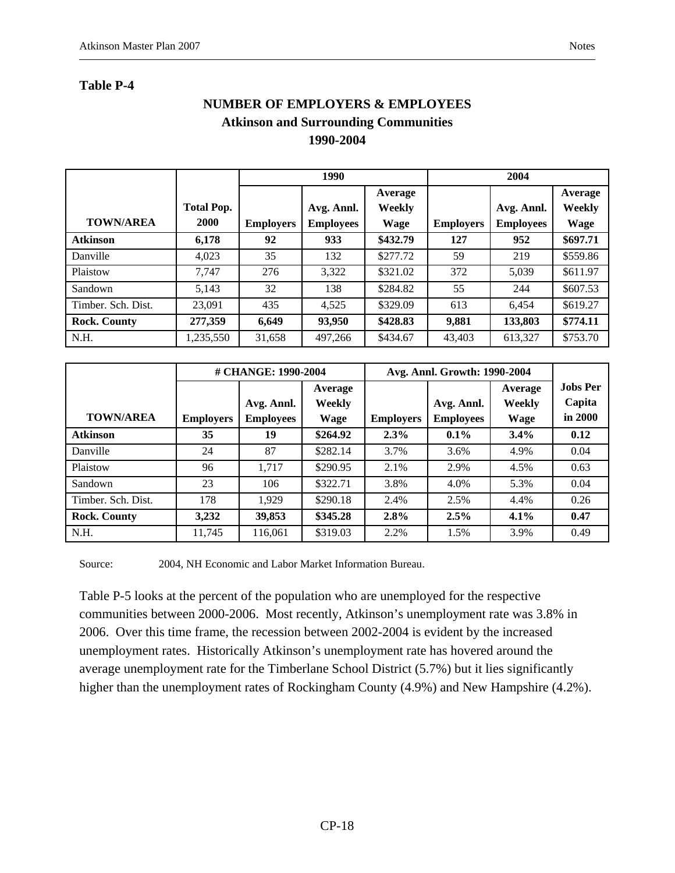# **NUMBER OF EMPLOYERS & EMPLOYEES Atkinson and Surrounding Communities 1990-2004**

|                     |                   |                  | 1990             |               |                  | 2004             |             |
|---------------------|-------------------|------------------|------------------|---------------|------------------|------------------|-------------|
|                     |                   |                  |                  | Average       |                  |                  | Average     |
|                     | <b>Total Pop.</b> |                  | Avg. Annl.       | <b>Weekly</b> |                  | Avg. Annl.       | Weekly      |
| <b>TOWN/AREA</b>    | <b>2000</b>       | <b>Employers</b> | <b>Employees</b> | Wage          | <b>Employers</b> | <b>Employees</b> | <b>Wage</b> |
| <b>Atkinson</b>     | 6,178             | 92               | 933              | \$432.79      | 127              | 952              | \$697.71    |
| Danville            | 4,023             | 35               | 132              | \$277.72      | 59               | 219              | \$559.86    |
| Plaistow            | 7.747             | 276              | 3,322            | \$321.02      | 372              | 5,039            | \$611.97    |
| Sandown             | 5.143             | 32               | 138              | \$284.82      | 55               | 244              | \$607.53    |
| Timber, Sch. Dist.  | 23,091            | 435              | 4,525            | \$329.09      | 613              | 6.454            | \$619.27    |
| <b>Rock. County</b> | 277,359           | 6,649            | 93,950           | \$428.83      | 9,881            | 133,803          | \$774.11    |
| N.H.                | 1,235,550         | 31,658           | 497,266          | \$434.67      | 43,403           | 613,327          | \$753.70    |

|                     |                                      | # CHANGE: 1990-2004 |               |                  | Avg. Annl. Growth: 1990-2004 |               |                 |
|---------------------|--------------------------------------|---------------------|---------------|------------------|------------------------------|---------------|-----------------|
|                     |                                      |                     | Average       |                  |                              | Average       | <b>Jobs Per</b> |
|                     |                                      | Avg. Annl.          | <b>Weekly</b> |                  | Avg. Annl.                   | <b>Weekly</b> | Capita          |
| <b>TOWN/AREA</b>    | <b>Employees</b><br><b>Employers</b> |                     | <b>Wage</b>   | <b>Employers</b> | <b>Employees</b>             | Wage          | in 2000         |
| <b>Atkinson</b>     | 35                                   | 19                  | \$264.92      | 2.3%             | $0.1\%$                      | 3.4%          | 0.12            |
| Danville            | 24                                   | 87                  | \$282.14      | 3.7%             | 3.6%                         | 4.9%          | 0.04            |
| Plaistow            | 96                                   | 1.717               | \$290.95      | 2.1%             | 2.9%                         | 4.5%          | 0.63            |
| Sandown             | 23                                   | 106                 | \$322.71      | 3.8%             | 4.0%                         | 5.3%          | 0.04            |
| Timber, Sch. Dist.  | 178                                  | 1.929               | \$290.18      | 2.4%             | 2.5%                         | 4.4%          | 0.26            |
| <b>Rock. County</b> | 3,232                                | 39,853              | \$345.28      | 2.8%             | 2.5%                         | $4.1\%$       | 0.47            |
| N.H.                | 11.745                               | 116.061             | \$319.03      | 2.2%             | 1.5%                         | 3.9%          | 0.49            |

Source: 2004, NH Economic and Labor Market Information Bureau.

Table P-5 looks at the percent of the population who are unemployed for the respective communities between 2000-2006. Most recently, Atkinson's unemployment rate was 3.8% in 2006. Over this time frame, the recession between 2002-2004 is evident by the increased unemployment rates. Historically Atkinson's unemployment rate has hovered around the average unemployment rate for the Timberlane School District (5.7%) but it lies significantly higher than the unemployment rates of Rockingham County (4.9%) and New Hampshire (4.2%).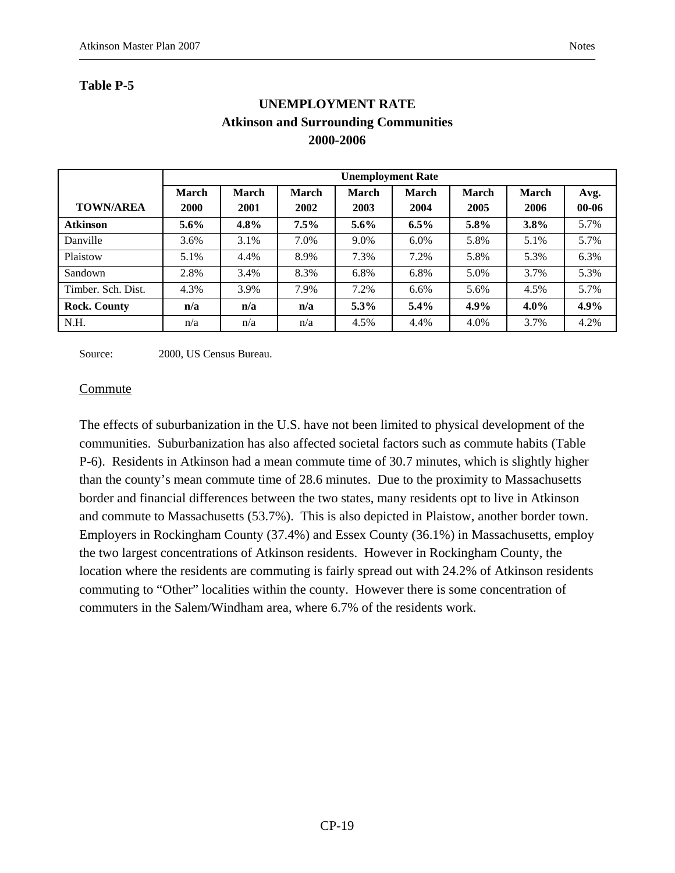### **Table P-5**

|                     | <b>Unemployment Rate</b>    |                                                                                                                                                                   |         |         |         |      |         |      |  |  |  |  |  |  |  |
|---------------------|-----------------------------|-------------------------------------------------------------------------------------------------------------------------------------------------------------------|---------|---------|---------|------|---------|------|--|--|--|--|--|--|--|
| <b>TOWN/AREA</b>    | <b>March</b><br><b>2000</b> | <b>March</b><br><b>March</b><br><b>March</b><br><b>March</b><br><b>March</b><br><b>March</b><br>Avg.<br>2005<br>$00 - 06$<br>2001<br>2002<br>2003<br>2004<br>2006 |         |         |         |      |         |      |  |  |  |  |  |  |  |
| <b>Atkinson</b>     | $5.6\%$                     | $4.8\%$                                                                                                                                                           | $7.5\%$ | $5.6\%$ | 6.5%    | 5.8% | 3.8%    | 5.7% |  |  |  |  |  |  |  |
| Danville            | 3.6%                        | 3.1%                                                                                                                                                              | 7.0%    | 9.0%    | $6.0\%$ | 5.8% | 5.1%    | 5.7% |  |  |  |  |  |  |  |
| Plaistow            | 5.1%                        | 4.4%                                                                                                                                                              | 8.9%    | 7.3%    | 7.2%    | 5.8% | 5.3%    | 6.3% |  |  |  |  |  |  |  |
| Sandown             | 2.8%                        | 3.4%                                                                                                                                                              | 8.3%    | 6.8%    | 6.8%    | 5.0% | 3.7%    | 5.3% |  |  |  |  |  |  |  |
| Timber, Sch. Dist.  | 4.3%                        | 3.9%                                                                                                                                                              | 7.9%    | 7.2%    | 6.6%    | 5.6% | 4.5%    | 5.7% |  |  |  |  |  |  |  |
| <b>Rock. County</b> | n/a                         | n/a                                                                                                                                                               | n/a     | $5.3\%$ | 5.4%    | 4.9% | $4.0\%$ | 4.9% |  |  |  |  |  |  |  |
| N.H.                | n/a                         | n/a                                                                                                                                                               | n/a     | 4.5%    | 4.4%    | 4.0% | 3.7%    | 4.2% |  |  |  |  |  |  |  |

# **UNEMPLOYMENT RATE Atkinson and Surrounding Communities 2000-2006**

Source: 2000, US Census Bureau.

#### Commute

The effects of suburbanization in the U.S. have not been limited to physical development of the communities. Suburbanization has also affected societal factors such as commute habits (Table P-6). Residents in Atkinson had a mean commute time of 30.7 minutes, which is slightly higher than the county's mean commute time of 28.6 minutes. Due to the proximity to Massachusetts border and financial differences between the two states, many residents opt to live in Atkinson and commute to Massachusetts (53.7%). This is also depicted in Plaistow, another border town. Employers in Rockingham County (37.4%) and Essex County (36.1%) in Massachusetts, employ the two largest concentrations of Atkinson residents. However in Rockingham County, the location where the residents are commuting is fairly spread out with 24.2% of Atkinson residents commuting to "Other" localities within the county. However there is some concentration of commuters in the Salem/Windham area, where 6.7% of the residents work.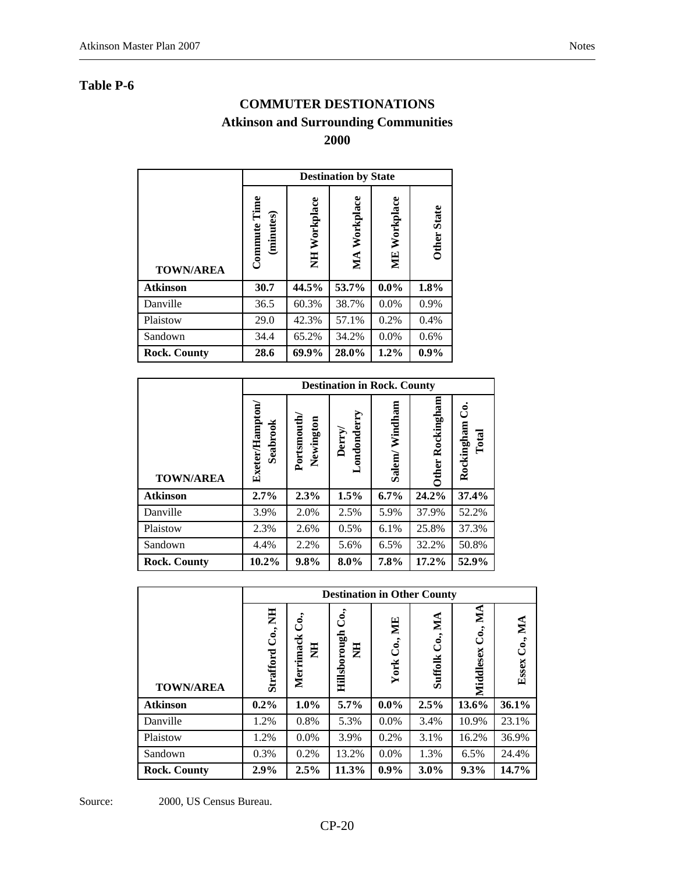### **COMMUTER DESTIONATIONS**

# **Atkinson and Surrounding Communities**

**2000** 

|                     |                           |              | <b>Destination by State</b> |                 |                    |
|---------------------|---------------------------|--------------|-----------------------------|-----------------|--------------------|
| <b>TOWN/AREA</b>    | Commute Time<br>(minutes) | NH Workplace | MA Workplace                | Workplace<br>МE | <b>Other State</b> |
| <b>Atkinson</b>     | 30.7                      | 44.5%        | 53.7%                       | $0.0\%$         | $1.8\%$            |
| Danville            | 36.5                      | 60.3%        | 38.7%                       | 0.0%            | 0.9%               |
| Plaistow            | 29.0                      | 42.3%        | 57.1%                       | 0.2%            | 0.4%               |
| Sandown             | 34.4                      | 65.2%        | 34.2%                       | 0.0%            | 0.6%               |
| <b>Rock. County</b> | 28.6                      | 69.9%        | 28.0%                       | 1.2%            | 0.9%               |

|                     |                                                |                         | <b>Destination in Rock. County</b> |                   |                  |                           |  |  |  |  |
|---------------------|------------------------------------------------|-------------------------|------------------------------------|-------------------|------------------|---------------------------|--|--|--|--|
| <b>TOWN/AREA</b>    | Exeter/Hampton<br>Seabrook                     | Portsmouth<br>Newington | Londonderry<br>Derry/              | Windham<br>Salem/ | Other Rockingham | ರೆ<br>Rockingham<br>Total |  |  |  |  |
| <b>Atkinson</b>     | 2.7%                                           | 2.3%                    | 1.5%                               | $6.7\%$           | 24.2%            | 37.4%                     |  |  |  |  |
| Danville            | 3.9%                                           | 2.0%                    | 2.5%                               | 5.9%              | 37.9%            | 52.2%                     |  |  |  |  |
| Plaistow            | 2.3%                                           | 2.6%                    | 0.5%                               | 6.1%              | 25.8%            | 37.3%                     |  |  |  |  |
| Sandown             | 2.2%<br>6.5%<br>32.2%<br>50.8%<br>4.4%<br>5.6% |                         |                                    |                   |                  |                           |  |  |  |  |
| <b>Rock. County</b> | 10.2%                                          | 9.8%                    | 8.0%                               | 7.8%              | 17.2%            | 52.9%                     |  |  |  |  |

|                     |                      |                         | <b>Destination in Other County</b> |                 |                    |                                        |                  |
|---------------------|----------------------|-------------------------|------------------------------------|-----------------|--------------------|----------------------------------------|------------------|
| <b>TOWN/AREA</b>    | Co., NH<br>Strafford | Co.,<br>Merrimack<br>HN | Ć.,<br>Hillsborough<br>E           | Co., ME<br>York | Co., MA<br>Suffolk | MA<br>$\ddot{\mathbf{C}}$<br>Middlesex | Co., MA<br>Essex |
| <b>Atkinson</b>     | $0.2\%$              | $1.0\%$                 | 5.7%                               | $0.0\%$         | 2.5%               | 13.6%                                  | 36.1%            |
| Danville            | 1.2%                 | 0.8%                    | 5.3%                               | 0.0%            | 3.4%               | 10.9%                                  | 23.1%            |
| Plaistow            | 1.2%                 | 0.0%                    | 3.9%                               | 0.2%            | 3.1%               | 16.2%                                  | 36.9%            |
| Sandown             | 0.3%                 | 0.2%                    | 13.2%                              | $0.0\%$         | 1.3%               | 6.5%                                   | 24.4%            |
| <b>Rock. County</b> | 2.9%                 | 2.5%                    | 11.3%                              | $0.9\%$         | 3.0%               | $9.3\%$                                | 14.7%            |

Source: 2000, US Census Bureau.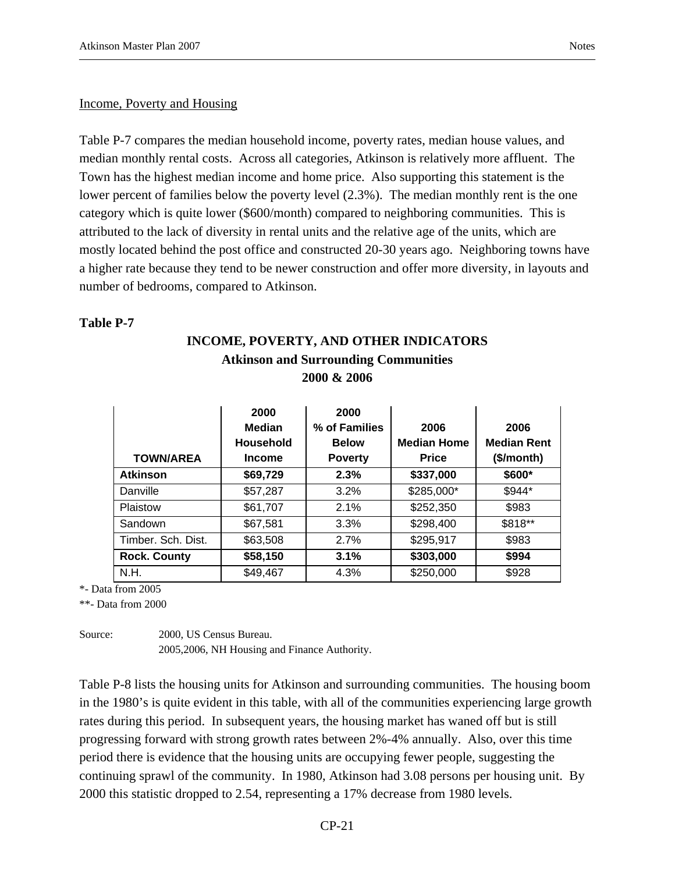#### Income, Poverty and Housing

Table P-7 compares the median household income, poverty rates, median house values, and median monthly rental costs. Across all categories, Atkinson is relatively more affluent. The Town has the highest median income and home price. Also supporting this statement is the lower percent of families below the poverty level (2.3%). The median monthly rent is the one category which is quite lower (\$600/month) compared to neighboring communities. This is attributed to the lack of diversity in rental units and the relative age of the units, which are mostly located behind the post office and constructed 20-30 years ago. Neighboring towns have a higher rate because they tend to be newer construction and offer more diversity, in layouts and number of bedrooms, compared to Atkinson.

#### **Table P-7**

|                     | 2000 & 2006                                                |                                                         |                                            |                                          |  |  |  |  |  |  |  |  |  |  |
|---------------------|------------------------------------------------------------|---------------------------------------------------------|--------------------------------------------|------------------------------------------|--|--|--|--|--|--|--|--|--|--|
| <b>TOWN/AREA</b>    | 2000<br><b>Median</b><br><b>Household</b><br><b>Income</b> | 2000<br>% of Families<br><b>Below</b><br><b>Poverty</b> | 2006<br><b>Median Home</b><br><b>Price</b> | 2006<br><b>Median Rent</b><br>(\$/month) |  |  |  |  |  |  |  |  |  |  |
| <b>Atkinson</b>     | \$69,729                                                   | 2.3%                                                    | \$337,000                                  | \$600*                                   |  |  |  |  |  |  |  |  |  |  |
| Danville            | \$57,287                                                   | 3.2%                                                    | \$285,000*                                 | \$944*                                   |  |  |  |  |  |  |  |  |  |  |
| Plaistow            | \$61,707                                                   | 2.1%                                                    | \$252,350                                  | \$983                                    |  |  |  |  |  |  |  |  |  |  |
| Sandown             | \$67,581                                                   | 3.3%                                                    | \$298,400                                  | \$818**                                  |  |  |  |  |  |  |  |  |  |  |
| Timber. Sch. Dist.  | \$63,508                                                   | 2.7%                                                    | \$295,917                                  | \$983                                    |  |  |  |  |  |  |  |  |  |  |
| <b>Rock. County</b> | \$58,150                                                   | 3.1%                                                    | \$303,000                                  | \$994                                    |  |  |  |  |  |  |  |  |  |  |
| N.H.                | \$49,467                                                   | 4.3%                                                    | \$250,000                                  | \$928                                    |  |  |  |  |  |  |  |  |  |  |

# **INCOME, POVERTY, AND OTHER INDICATORS Atkinson and Surrounding Communities**

\*- Data from 2005

\*\*- Data from 2000

Source: 2000, US Census Bureau. 2005,2006, NH Housing and Finance Authority.

Table P-8 lists the housing units for Atkinson and surrounding communities. The housing boom in the 1980's is quite evident in this table, with all of the communities experiencing large growth rates during this period. In subsequent years, the housing market has waned off but is still progressing forward with strong growth rates between 2%-4% annually. Also, over this time period there is evidence that the housing units are occupying fewer people, suggesting the continuing sprawl of the community. In 1980, Atkinson had 3.08 persons per housing unit. By 2000 this statistic dropped to 2.54, representing a 17% decrease from 1980 levels.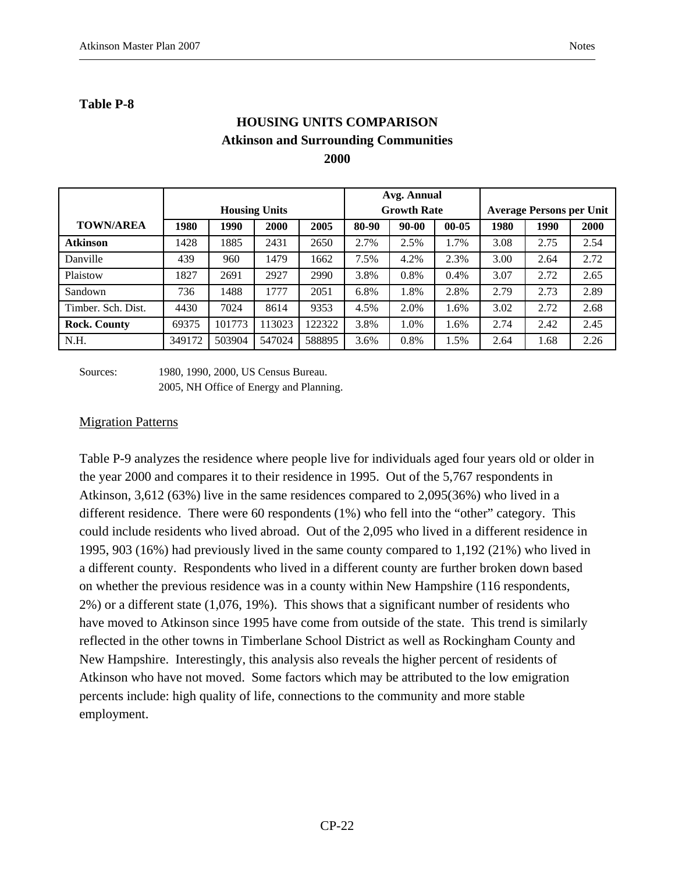### **Table P-8**

# **HOUSING UNITS COMPARISON Atkinson and Surrounding Communities 2000**

|                     |        |        |                      |        |       | Avg. Annual        |           |      |                                 |      |
|---------------------|--------|--------|----------------------|--------|-------|--------------------|-----------|------|---------------------------------|------|
|                     |        |        | <b>Housing Units</b> |        |       | <b>Growth Rate</b> |           |      | <b>Average Persons per Unit</b> |      |
| <b>TOWN/AREA</b>    | 1980   | 1990   | 2000                 | 2005   | 80-90 | $90 - 00$          | $00 - 05$ | 1980 | 1990                            | 2000 |
| <b>Atkinson</b>     | 1428   | 1885   | 2431                 | 2650   | 2.7%  | 2.5%               | 1.7%      | 3.08 | 2.75                            | 2.54 |
| Danville            | 439    | 960    | 1479                 | 1662   | 7.5%  | 4.2%               | 2.3%      | 3.00 | 2.64                            | 2.72 |
| Plaistow            | 1827   | 2691   | 2927                 | 2990   | 3.8%  | 0.8%               | $0.4\%$   | 3.07 | 2.72                            | 2.65 |
| Sandown             | 736    | 1488   | 1777                 | 2051   | 6.8%  | 1.8%               | 2.8%      | 2.79 | 2.73                            | 2.89 |
| Timber. Sch. Dist.  | 4430   | 7024   | 8614                 | 9353   | 4.5%  | 2.0%               | 1.6%      | 3.02 | 2.72                            | 2.68 |
| <b>Rock. County</b> | 69375  | 101773 | 13023                | 122322 | 3.8%  | 1.0%               | 1.6%      | 2.74 | 2.42                            | 2.45 |
| N.H.                | 349172 | 503904 | 547024               | 588895 | 3.6%  | 0.8%               | 1.5%      | 2.64 | 1.68                            | 2.26 |

Sources: 1980, 1990, 2000, US Census Bureau. 2005, NH Office of Energy and Planning.

#### **Migration Patterns**

Table P-9 analyzes the residence where people live for individuals aged four years old or older in the year 2000 and compares it to their residence in 1995. Out of the 5,767 respondents in Atkinson, 3,612 (63%) live in the same residences compared to 2,095(36%) who lived in a different residence. There were 60 respondents (1%) who fell into the "other" category. This could include residents who lived abroad. Out of the 2,095 who lived in a different residence in 1995, 903 (16%) had previously lived in the same county compared to 1,192 (21%) who lived in a different county. Respondents who lived in a different county are further broken down based on whether the previous residence was in a county within New Hampshire (116 respondents, 2%) or a different state (1,076, 19%). This shows that a significant number of residents who have moved to Atkinson since 1995 have come from outside of the state. This trend is similarly reflected in the other towns in Timberlane School District as well as Rockingham County and New Hampshire. Interestingly, this analysis also reveals the higher percent of residents of Atkinson who have not moved. Some factors which may be attributed to the low emigration percents include: high quality of life, connections to the community and more stable employment.